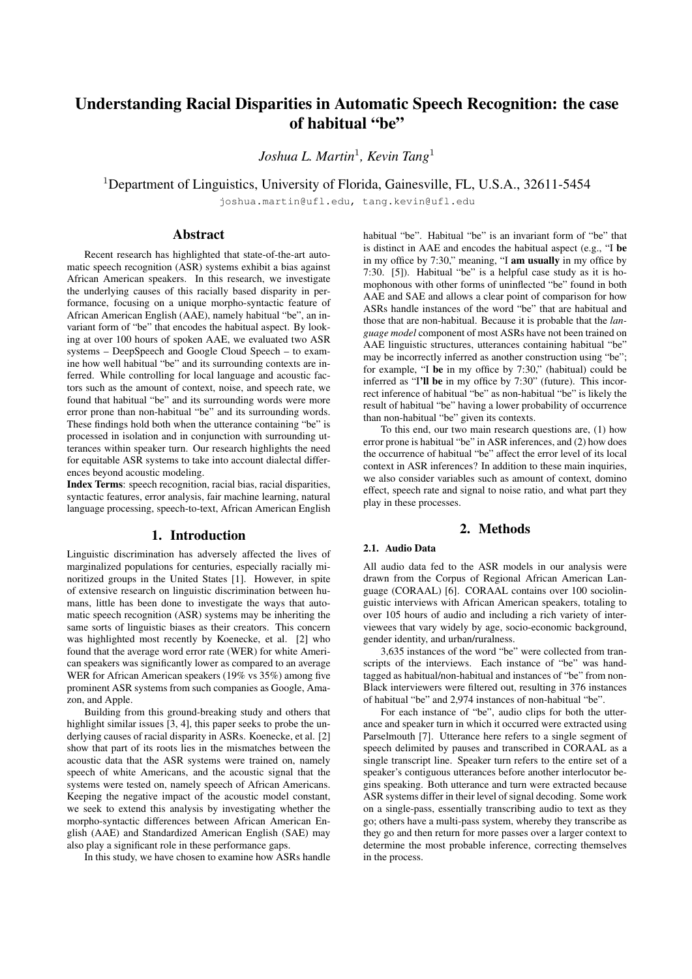# Understanding Racial Disparities in Automatic Speech Recognition: the case of habitual "be"

*Joshua L. Martin*<sup>1</sup> *, Kevin Tang*<sup>1</sup>

<sup>1</sup>Department of Linguistics, University of Florida, Gainesville, FL, U.S.A., 32611-5454

joshua.martin@ufl.edu, tang.kevin@ufl.edu

# Abstract

Recent research has highlighted that state-of-the-art automatic speech recognition (ASR) systems exhibit a bias against African American speakers. In this research, we investigate the underlying causes of this racially based disparity in performance, focusing on a unique morpho-syntactic feature of African American English (AAE), namely habitual "be", an invariant form of "be" that encodes the habitual aspect. By looking at over 100 hours of spoken AAE, we evaluated two ASR systems – DeepSpeech and Google Cloud Speech – to examine how well habitual "be" and its surrounding contexts are inferred. While controlling for local language and acoustic factors such as the amount of context, noise, and speech rate, we found that habitual "be" and its surrounding words were more error prone than non-habitual "be" and its surrounding words. These findings hold both when the utterance containing "be" is processed in isolation and in conjunction with surrounding utterances within speaker turn. Our research highlights the need for equitable ASR systems to take into account dialectal differences beyond acoustic modeling.

Index Terms: speech recognition, racial bias, racial disparities, syntactic features, error analysis, fair machine learning, natural language processing, speech-to-text, African American English

# 1. Introduction

Linguistic discrimination has adversely affected the lives of marginalized populations for centuries, especially racially minoritized groups in the United States [1]. However, in spite of extensive research on linguistic discrimination between humans, little has been done to investigate the ways that automatic speech recognition (ASR) systems may be inheriting the same sorts of linguistic biases as their creators. This concern was highlighted most recently by Koenecke, et al. [2] who found that the average word error rate (WER) for white American speakers was significantly lower as compared to an average WER for African American speakers (19% vs 35%) among five prominent ASR systems from such companies as Google, Amazon, and Apple.

Building from this ground-breaking study and others that highlight similar issues [3, 4], this paper seeks to probe the underlying causes of racial disparity in ASRs. Koenecke, et al. [2] show that part of its roots lies in the mismatches between the acoustic data that the ASR systems were trained on, namely speech of white Americans, and the acoustic signal that the systems were tested on, namely speech of African Americans. Keeping the negative impact of the acoustic model constant, we seek to extend this analysis by investigating whether the morpho-syntactic differences between African American English (AAE) and Standardized American English (SAE) may also play a significant role in these performance gaps.

In this study, we have chosen to examine how ASRs handle

habitual "be". Habitual "be" is an invariant form of "be" that is distinct in AAE and encodes the habitual aspect (e.g., "I be in my office by 7:30," meaning, "I am usually in my office by 7:30. [5]). Habitual "be" is a helpful case study as it is homophonous with other forms of uninflected "be" found in both AAE and SAE and allows a clear point of comparison for how ASRs handle instances of the word "be" that are habitual and those that are non-habitual. Because it is probable that the *language model* component of most ASRs have not been trained on AAE linguistic structures, utterances containing habitual "be" may be incorrectly inferred as another construction using "be"; for example, "I be in my office by 7:30," (habitual) could be inferred as "I'll be in my office by 7:30" (future). This incorrect inference of habitual "be" as non-habitual "be" is likely the result of habitual "be" having a lower probability of occurrence than non-habitual "be" given its contexts.

To this end, our two main research questions are, (1) how error prone is habitual "be" in ASR inferences, and (2) how does the occurrence of habitual "be" affect the error level of its local context in ASR inferences? In addition to these main inquiries, we also consider variables such as amount of context, domino effect, speech rate and signal to noise ratio, and what part they play in these processes.

# 2. Methods

# 2.1. Audio Data

All audio data fed to the ASR models in our analysis were drawn from the Corpus of Regional African American Language (CORAAL) [6]. CORAAL contains over 100 sociolinguistic interviews with African American speakers, totaling to over 105 hours of audio and including a rich variety of interviewees that vary widely by age, socio-economic background, gender identity, and urban/ruralness.

3,635 instances of the word "be" were collected from transcripts of the interviews. Each instance of "be" was handtagged as habitual/non-habitual and instances of "be" from non-Black interviewers were filtered out, resulting in 376 instances of habitual "be" and 2,974 instances of non-habitual "be".

For each instance of "be", audio clips for both the utterance and speaker turn in which it occurred were extracted using Parselmouth [7]. Utterance here refers to a single segment of speech delimited by pauses and transcribed in CORAAL as a single transcript line. Speaker turn refers to the entire set of a speaker's contiguous utterances before another interlocutor begins speaking. Both utterance and turn were extracted because ASR systems differ in their level of signal decoding. Some work on a single-pass, essentially transcribing audio to text as they go; others have a multi-pass system, whereby they transcribe as they go and then return for more passes over a larger context to determine the most probable inference, correcting themselves in the process.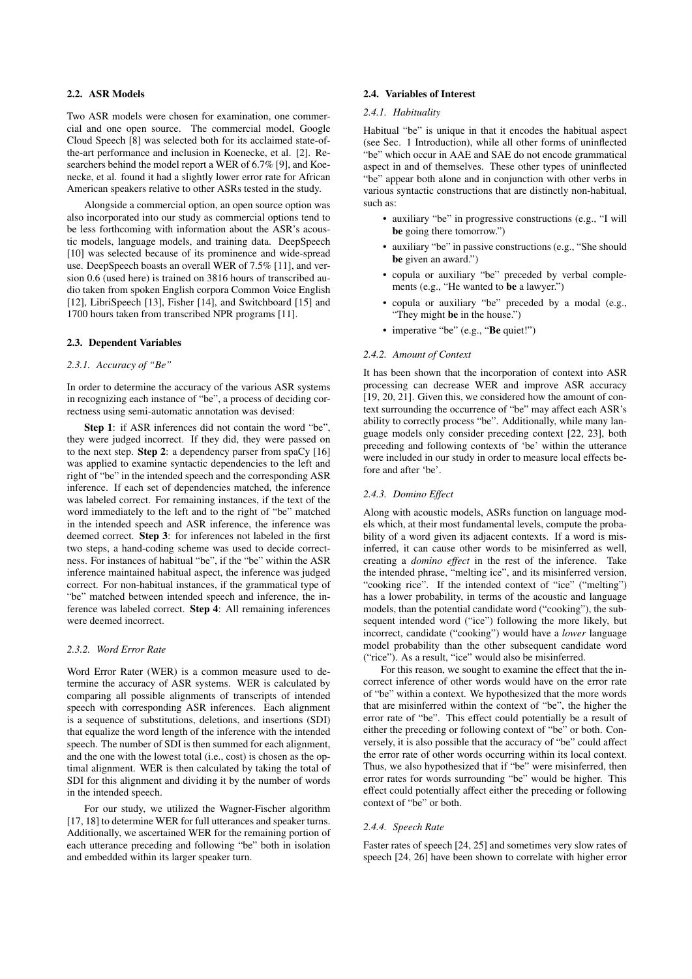## 2.2. ASR Models

Two ASR models were chosen for examination, one commercial and one open source. The commercial model, Google Cloud Speech [8] was selected both for its acclaimed state-ofthe-art performance and inclusion in Koenecke, et al. [2]. Researchers behind the model report a WER of 6.7% [9], and Koenecke, et al. found it had a slightly lower error rate for African American speakers relative to other ASRs tested in the study.

Alongside a commercial option, an open source option was also incorporated into our study as commercial options tend to be less forthcoming with information about the ASR's acoustic models, language models, and training data. DeepSpeech [10] was selected because of its prominence and wide-spread use. DeepSpeech boasts an overall WER of 7.5% [11], and version 0.6 (used here) is trained on 3816 hours of transcribed audio taken from spoken English corpora Common Voice English [12], LibriSpeech [13], Fisher [14], and Switchboard [15] and 1700 hours taken from transcribed NPR programs [11].

## 2.3. Dependent Variables

# *2.3.1. Accuracy of "Be"*

In order to determine the accuracy of the various ASR systems in recognizing each instance of "be", a process of deciding correctness using semi-automatic annotation was devised:

Step 1: if ASR inferences did not contain the word "be", they were judged incorrect. If they did, they were passed on to the next step. Step 2: a dependency parser from spaCy [16] was applied to examine syntactic dependencies to the left and right of "be" in the intended speech and the corresponding ASR inference. If each set of dependencies matched, the inference was labeled correct. For remaining instances, if the text of the word immediately to the left and to the right of "be" matched in the intended speech and ASR inference, the inference was deemed correct. Step 3: for inferences not labeled in the first two steps, a hand-coding scheme was used to decide correctness. For instances of habitual "be", if the "be" within the ASR inference maintained habitual aspect, the inference was judged correct. For non-habitual instances, if the grammatical type of "be" matched between intended speech and inference, the inference was labeled correct. Step 4: All remaining inferences were deemed incorrect.

## *2.3.2. Word Error Rate*

Word Error Rater (WER) is a common measure used to determine the accuracy of ASR systems. WER is calculated by comparing all possible alignments of transcripts of intended speech with corresponding ASR inferences. Each alignment is a sequence of substitutions, deletions, and insertions (SDI) that equalize the word length of the inference with the intended speech. The number of SDI is then summed for each alignment, and the one with the lowest total (i.e., cost) is chosen as the optimal alignment. WER is then calculated by taking the total of SDI for this alignment and dividing it by the number of words in the intended speech.

For our study, we utilized the Wagner-Fischer algorithm [17, 18] to determine WER for full utterances and speaker turns. Additionally, we ascertained WER for the remaining portion of each utterance preceding and following "be" both in isolation and embedded within its larger speaker turn.

# 2.4. Variables of Interest

## *2.4.1. Habituality*

Habitual "be" is unique in that it encodes the habitual aspect (see Sec. 1 Introduction), while all other forms of uninflected "be" which occur in AAE and SAE do not encode grammatical aspect in and of themselves. These other types of uninflected "be" appear both alone and in conjunction with other verbs in various syntactic constructions that are distinctly non-habitual, such as:

- auxiliary "be" in progressive constructions (e.g., "I will be going there tomorrow.")
- auxiliary "be" in passive constructions (e.g., "She should be given an award.")
- copula or auxiliary "be" preceded by verbal complements (e.g., "He wanted to be a lawyer.")
- copula or auxiliary "be" preceded by a modal (e.g., "They might be in the house.")
- imperative "be" (e.g., "Be quiet!")

## *2.4.2. Amount of Context*

It has been shown that the incorporation of context into ASR processing can decrease WER and improve ASR accuracy [19, 20, 21]. Given this, we considered how the amount of context surrounding the occurrence of "be" may affect each ASR's ability to correctly process "be". Additionally, while many language models only consider preceding context [22, 23], both preceding and following contexts of 'be' within the utterance were included in our study in order to measure local effects before and after 'be'.

## *2.4.3. Domino Effect*

Along with acoustic models, ASRs function on language models which, at their most fundamental levels, compute the probability of a word given its adjacent contexts. If a word is misinferred, it can cause other words to be misinferred as well, creating a *domino effect* in the rest of the inference. Take the intended phrase, "melting ice", and its misinferred version, "cooking rice". If the intended context of "ice" ("melting") has a lower probability, in terms of the acoustic and language models, than the potential candidate word ("cooking"), the subsequent intended word ("ice") following the more likely, but incorrect, candidate ("cooking") would have a *lower* language model probability than the other subsequent candidate word ("rice"). As a result, "ice" would also be misinferred.

For this reason, we sought to examine the effect that the incorrect inference of other words would have on the error rate of "be" within a context. We hypothesized that the more words that are misinferred within the context of "be", the higher the error rate of "be". This effect could potentially be a result of either the preceding or following context of "be" or both. Conversely, it is also possible that the accuracy of "be" could affect the error rate of other words occurring within its local context. Thus, we also hypothesized that if "be" were misinferred, then error rates for words surrounding "be" would be higher. This effect could potentially affect either the preceding or following context of "be" or both.

#### *2.4.4. Speech Rate*

Faster rates of speech [24, 25] and sometimes very slow rates of speech [24, 26] have been shown to correlate with higher error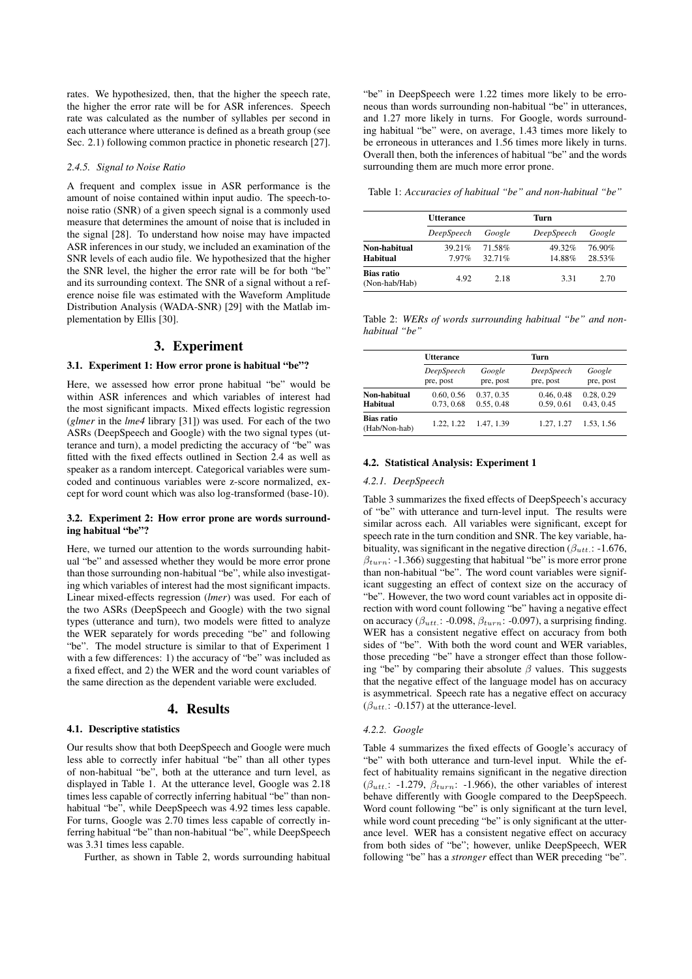rates. We hypothesized, then, that the higher the speech rate, the higher the error rate will be for ASR inferences. Speech rate was calculated as the number of syllables per second in each utterance where utterance is defined as a breath group (see Sec. 2.1) following common practice in phonetic research [27].

## *2.4.5. Signal to Noise Ratio*

A frequent and complex issue in ASR performance is the amount of noise contained within input audio. The speech-tonoise ratio (SNR) of a given speech signal is a commonly used measure that determines the amount of noise that is included in the signal [28]. To understand how noise may have impacted ASR inferences in our study, we included an examination of the SNR levels of each audio file. We hypothesized that the higher the SNR level, the higher the error rate will be for both "be" and its surrounding context. The SNR of a signal without a reference noise file was estimated with the Waveform Amplitude Distribution Analysis (WADA-SNR) [29] with the Matlab implementation by Ellis [30].

# 3. Experiment

## 3.1. Experiment 1: How error prone is habitual "be"?

Here, we assessed how error prone habitual "be" would be within ASR inferences and which variables of interest had the most significant impacts. Mixed effects logistic regression (*glmer* in the *lme4* library [31]) was used. For each of the two ASRs (DeepSpeech and Google) with the two signal types (utterance and turn), a model predicting the accuracy of "be" was fitted with the fixed effects outlined in Section 2.4 as well as speaker as a random intercept. Categorical variables were sumcoded and continuous variables were z-score normalized, except for word count which was also log-transformed (base-10).

## 3.2. Experiment 2: How error prone are words surrounding habitual "be"?

Here, we turned our attention to the words surrounding habitual "be" and assessed whether they would be more error prone than those surrounding non-habitual "be", while also investigating which variables of interest had the most significant impacts. Linear mixed-effects regression (*lmer*) was used. For each of the two ASRs (DeepSpeech and Google) with the two signal types (utterance and turn), two models were fitted to analyze the WER separately for words preceding "be" and following "be". The model structure is similar to that of Experiment 1 with a few differences: 1) the accuracy of "be" was included as a fixed effect, and 2) the WER and the word count variables of the same direction as the dependent variable were excluded.

# 4. Results

#### 4.1. Descriptive statistics

Our results show that both DeepSpeech and Google were much less able to correctly infer habitual "be" than all other types of non-habitual "be", both at the utterance and turn level, as displayed in Table 1. At the utterance level, Google was 2.18 times less capable of correctly inferring habitual "be" than nonhabitual "be", while DeepSpeech was 4.92 times less capable. For turns, Google was 2.70 times less capable of correctly inferring habitual "be" than non-habitual "be", while DeepSpeech was 3.31 times less capable.

Further, as shown in Table 2, words surrounding habitual

"be" in DeepSpeech were 1.22 times more likely to be erroneous than words surrounding non-habitual "be" in utterances, and 1.27 more likely in turns. For Google, words surrounding habitual "be" were, on average, 1.43 times more likely to be erroneous in utterances and 1.56 times more likely in turns. Overall then, both the inferences of habitual "be" and the words surrounding them are much more error prone.

Table 1: *Accuracies of habitual "be" and non-habitual "be"*

|                             | <b>Utterance</b> |                  | Turn                |                  |  |
|-----------------------------|------------------|------------------|---------------------|------------------|--|
|                             | DeepSpeech       | Google           | DeepSpeech          | Google           |  |
| Non-habitual<br>Habitual    | 39 21%<br>797%   | 71.58%<br>32.71% | $49.32\%$<br>14.88% | 76.90%<br>28.53% |  |
| Bias ratio<br>(Non-hab/Hab) | 4.92             | 2.18             | 331                 | 2.70             |  |

Table 2: *WERs of words surrounding habitual "be" and nonhabitual "be"*

|                             | <b>Utterance</b> |            | Turn       |            |  |
|-----------------------------|------------------|------------|------------|------------|--|
|                             | DeepSpeech       | Google     | DeepSpeech | Google     |  |
|                             | pre, post        | pre, post  | pre, post  | pre, post  |  |
| Non-habitual                | 0.60, 0.56       | 0.37, 0.35 | 0.46, 0.48 | 0.28, 0.29 |  |
| <b>Habitual</b>             | 0.73, 0.68       | 0.55, 0.48 | 0.59, 0.61 | 0.43, 0.45 |  |
| Bias ratio<br>(Hab/Non-hab) | 1.22, 1.22       | 1.47, 1.39 | 1.27, 1.27 | 1.53, 1.56 |  |

## 4.2. Statistical Analysis: Experiment 1

#### *4.2.1. DeepSpeech*

Table 3 summarizes the fixed effects of DeepSpeech's accuracy of "be" with utterance and turn-level input. The results were similar across each. All variables were significant, except for speech rate in the turn condition and SNR. The key variable, habituality, was significant in the negative direction ( $\beta_{utt}$ : -1.676,  $\beta_{turn}$ : -1.366) suggesting that habitual "be" is more error prone than non-habitual "be". The word count variables were significant suggesting an effect of context size on the accuracy of "be". However, the two word count variables act in opposite direction with word count following "be" having a negative effect on accuracy ( $\beta_{utt}$ : -0.098,  $\beta_{turn}$ : -0.097), a surprising finding. WER has a consistent negative effect on accuracy from both sides of "be". With both the word count and WER variables, those preceding "be" have a stronger effect than those following "be" by comparing their absolute  $\beta$  values. This suggests that the negative effect of the language model has on accuracy is asymmetrical. Speech rate has a negative effect on accuracy  $(\beta_{utt.}: -0.157)$  at the utterance-level.

#### *4.2.2. Google*

Table 4 summarizes the fixed effects of Google's accuracy of "be" with both utterance and turn-level input. While the effect of habituality remains significant in the negative direction  $(\beta_{utt.}: -1.279, \beta_{turn}: -1.966)$ , the other variables of interest behave differently with Google compared to the DeepSpeech. Word count following "be" is only significant at the turn level, while word count preceding "be" is only significant at the utterance level. WER has a consistent negative effect on accuracy from both sides of "be"; however, unlike DeepSpeech, WER following "be" has a *stronger* effect than WER preceding "be".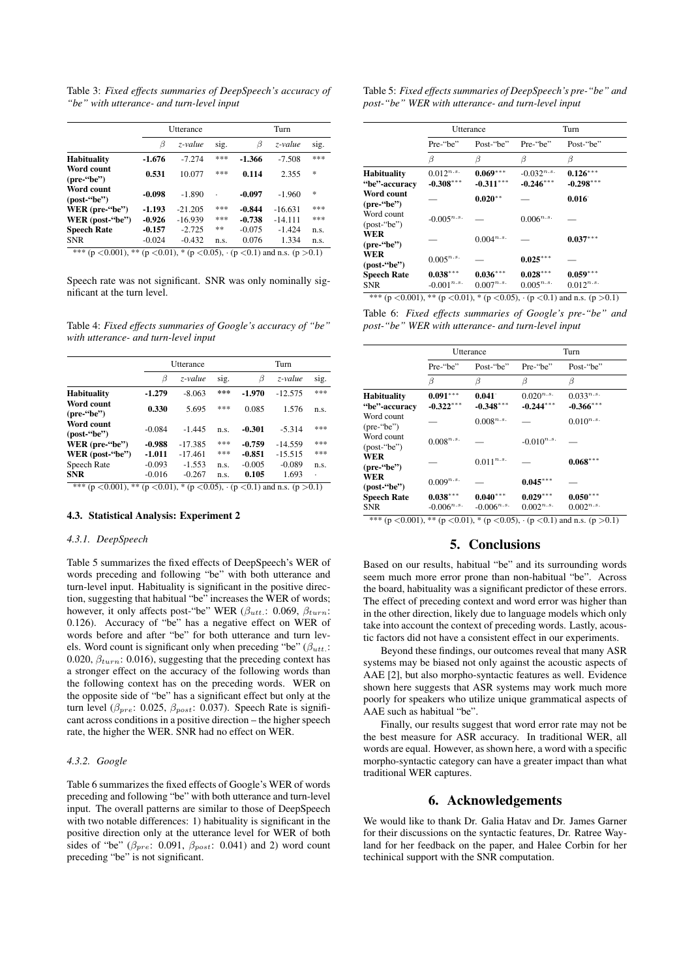Table 3: *Fixed effects summaries of DeepSpeech's accuracy of "be" with utterance- and turn-level input*

|                                    | <b>Utterance</b> |           |      | Turn     |           |      |
|------------------------------------|------------------|-----------|------|----------|-----------|------|
|                                    | Β                | z-value   | sig. | β        | z-value   | sig. |
| <b>Habituality</b>                 | $-1.676$         | $-7.274$  | ***  | -1.366   | $-7.508$  | ***  |
| Word count<br>$(\text{pre--}`be")$ | 0.531            | 10.077    | ***  | 0.114    | 2.355     | *    |
| Word count<br>$-post='be")$        | $-0.098$         | $-1.890$  |      | $-0.097$ | $-1.960$  | *    |
| WER (pre-"be")                     | $-1.193$         | $-21.205$ | ***  | $-0.844$ | $-16.631$ | ***  |
| WER (post-"be")                    | $-0.926$         | $-16.939$ | ***  | $-0.738$ | $-14.111$ | ***  |
| <b>Speech Rate</b>                 | $-0.157$         | $-2.725$  | **   | $-0.075$ | $-1.424$  | n.s. |
| <b>SNR</b>                         | $-0.024$         | $-0.432$  | n.s. | 0.076    | 1.334     | n.s. |

 $(p < 0.001)$ , \*\*  $(p < 0.01)$ , \*  $(p < 0.05)$ ,  $\cdot$   $(p < 0.1)$  and n.s.  $(p > 0.1)$ 

Speech rate was not significant. SNR was only nominally significant at the turn level.

Table 4: *Fixed effects summaries of Google's accuracy of "be" with utterance- and turn-level input*

|                                                                                                        | Utterance |           |      | Turn     |           |      |
|--------------------------------------------------------------------------------------------------------|-----------|-----------|------|----------|-----------|------|
|                                                                                                        | β         | z-value   | sig. | β        | z-value   | sig. |
| <b>Habituality</b>                                                                                     | $-1.279$  | $-8.063$  | ***  | $-1.970$ | $-12.575$ | ***  |
| Word count<br>$(\text{pre--}`be")$                                                                     | 0.330     | 5.695     | ***  | 0.085    | 1.576     | n.s. |
| Word count<br>$-post='be")$                                                                            | $-0.084$  | $-1445$   | n.s. | $-0.301$ | $-5.314$  | ***  |
| WER (pre-"be")                                                                                         | $-0.988$  | $-17.385$ | ***  | $-0.759$ | $-14.559$ | ***  |
| WER $(post$ -"be")                                                                                     | $-1.011$  | $-17.461$ | ***  | $-0.851$ | $-15.515$ | ***  |
| Speech Rate                                                                                            | $-0.093$  | $-1.553$  | n.s. | $-0.005$ | $-0.089$  | n.s. |
| <b>SNR</b>                                                                                             | $-0.016$  | $-0.267$  | n.s. | 0.105    | 1.693     | ٠    |
| **<br>***<br>$(p \le 0.01)$ , * $(p \le 0.05)$ , $(p \le 0.1)$ and n.s. $(p > 0.1)$<br>$(p < 0.001)$ . |           |           |      |          |           |      |

## 4.3. Statistical Analysis: Experiment 2

## *4.3.1. DeepSpeech*

Table 5 summarizes the fixed effects of DeepSpeech's WER of words preceding and following "be" with both utterance and turn-level input. Habituality is significant in the positive direction, suggesting that habitual "be" increases the WER of words; however, it only affects post-"be" WER ( $\beta_{utt}$ : 0.069,  $\beta_{turn}$ : 0.126). Accuracy of "be" has a negative effect on WER of words before and after "be" for both utterance and turn levels. Word count is significant only when preceding "be" ( $\beta_{utt}$ .: 0.020,  $\beta_{turn}$ : 0.016), suggesting that the preceding context has a stronger effect on the accuracy of the following words than the following context has on the preceding words. WER on the opposite side of "be" has a significant effect but only at the turn level ( $\beta_{pre}$ : 0.025,  $\beta_{post}$ : 0.037). Speech Rate is significant across conditions in a positive direction – the higher speech rate, the higher the WER. SNR had no effect on WER.

# *4.3.2. Google*

Table 6 summarizes the fixed effects of Google's WER of words preceding and following "be" with both utterance and turn-level input. The overall patterns are similar to those of DeepSpeech with two notable differences: 1) habituality is significant in the positive direction only at the utterance level for WER of both sides of "be" ( $\beta_{pre}$ : 0.091,  $\beta_{post}$ : 0.041) and 2) word count preceding "be" is not significant.

Table 5: *Fixed effects summaries of DeepSpeech's pre-"be" and post-"be" WER with utterance- and turn-level input*

|                                     |                               | Utterance                 | Turn                           |                           |  |
|-------------------------------------|-------------------------------|---------------------------|--------------------------------|---------------------------|--|
|                                     | Pre-"be"<br>Post-"be"         |                           | Pre-"be"                       | Post-"be"                 |  |
|                                     | β                             | β                         | β                              | β                         |  |
| <b>Habituality</b><br>"be"-accuracy | $0.012^{n.s.}$<br>$-0.308***$ | $0.069***$<br>$-0.311***$ | $-0.032^{n.s.}$<br>$-0.246***$ | $0.126***$<br>$-0.298***$ |  |
| Word count<br>$(\text{pre--}`be")$  |                               | $0.020**$                 |                                | 0.016                     |  |
| Word count<br>$-post='be")$         | $-0.005^{n.s.}$               |                           | $0.006^{n.s.}$                 |                           |  |
| WER<br>$(\text{pre--}`be")$         |                               | $0.004^{n.s.}$            |                                | $0.037***$                |  |
| WER<br>$-post='be")$                | $0.005^{n.s.}$                |                           | $0.025***$                     |                           |  |
| <b>Speech Rate</b>                  | $0.038***$                    | $0.036***$                | $0.028***$                     | $0.059***$                |  |
| <b>SNR</b>                          | $-0.001^{n.s.}$               | $0.007^{n.s.}$            | $0.005^{n.s.}$                 | $0.012^{n.s.}$            |  |

Table 6: *Fixed effects summaries of Google's pre-"be" and post-"be" WER with utterance- and turn-level input*

|                                                    |                               | Utterance                     | Turn                                                  |                                                               |  |
|----------------------------------------------------|-------------------------------|-------------------------------|-------------------------------------------------------|---------------------------------------------------------------|--|
|                                                    | Pre-"be"                      | Post-"be"                     | Pre-"be"                                              | Post-"be"                                                     |  |
|                                                    | β                             | β                             | β                                                     | β                                                             |  |
| <b>Habituality</b><br>"be"-accuracy                | $0.091***$<br>$-0.322***$     | 0.041<br>$-0.348***$          | $0.020^{n.s.}$<br>$-0.244***$                         | $0.033^{n.s.}$<br>$-0.366***$                                 |  |
| Word count<br>$(\text{pre--}^{\prime}\text{be''})$ |                               | $0.008^{n.s.}$                |                                                       | $0.010^{n.s.}$                                                |  |
| Word count<br>$-post='be")$                        | $0.008^{n.s.}$                |                               | $-0.010^{n.s.}$                                       |                                                               |  |
| WER<br>$(\text{pre--}^{\prime\prime}\text{be''})$  |                               | $0.011^{n.s.}$                |                                                       | $0.068***$                                                    |  |
| WER<br>$-post "be"$                                | $0.009^{n.s.}$                |                               | $0.045***$                                            |                                                               |  |
| <b>Speech Rate</b><br><b>SNR</b><br>0.0011         | $0.038***$<br>$-0.006^{n.s.}$ | $0.040***$<br>$-0.006^{n.s.}$ | $0.029***$<br>$0.002^{n.s.}$<br>$\sqrt{2}$ $\sqrt{2}$ | $0.050***$<br>$0.002^{n.s.}$<br>$\lambda$ $\lambda$ $\lambda$ |  |

## \*\*\* (p <0.001), \*\* (p <0.01), \* (p <0.05),  $\cdot$  (p <0.1) and n.s. (p >0.1)

# 5. Conclusions

Based on our results, habitual "be" and its surrounding words seem much more error prone than non-habitual "be". Across the board, habituality was a significant predictor of these errors. The effect of preceding context and word error was higher than in the other direction, likely due to language models which only take into account the context of preceding words. Lastly, acoustic factors did not have a consistent effect in our experiments.

Beyond these findings, our outcomes reveal that many ASR systems may be biased not only against the acoustic aspects of AAE [2], but also morpho-syntactic features as well. Evidence shown here suggests that ASR systems may work much more poorly for speakers who utilize unique grammatical aspects of AAE such as habitual "be".

Finally, our results suggest that word error rate may not be the best measure for ASR accuracy. In traditional WER, all words are equal. However, as shown here, a word with a specific morpho-syntactic category can have a greater impact than what traditional WER captures.

# 6. Acknowledgements

We would like to thank Dr. Galia Hatav and Dr. James Garner for their discussions on the syntactic features, Dr. Ratree Wayland for her feedback on the paper, and Halee Corbin for her techinical support with the SNR computation.